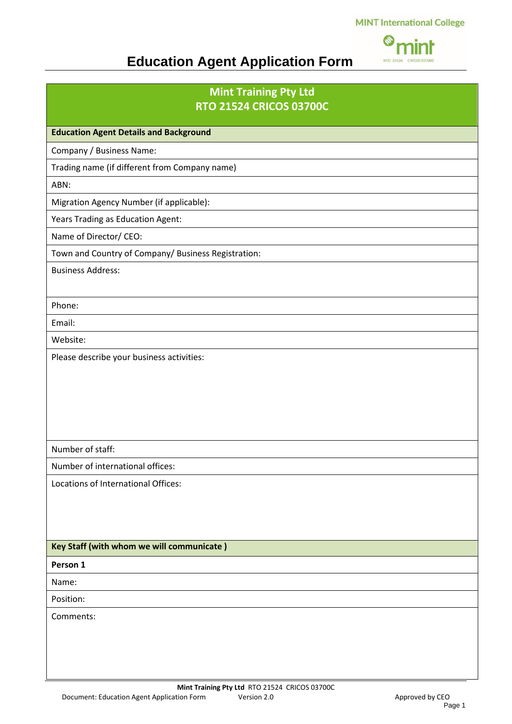#### **MINT International College**



## **Education Agent Application Form**

#### **Mint Training Pty Ltd RTO 21524 CRICOS 03700C**

**Education Agent Details and Background** Company / Business Name: Trading name (if different from Company name) ABN: Migration Agency Number (if applicable): Years Trading as Education Agent: Name of Director/ CEO: Town and Country of Company/ Business Registration: Business Address: Phone: Email: Website: Please describe your business activities: Number of staff: Number of international offices: Locations of International Offices:

#### **Key Staff (with whom we will communicate )**

**Person 1**

Name:

Position:

Comments: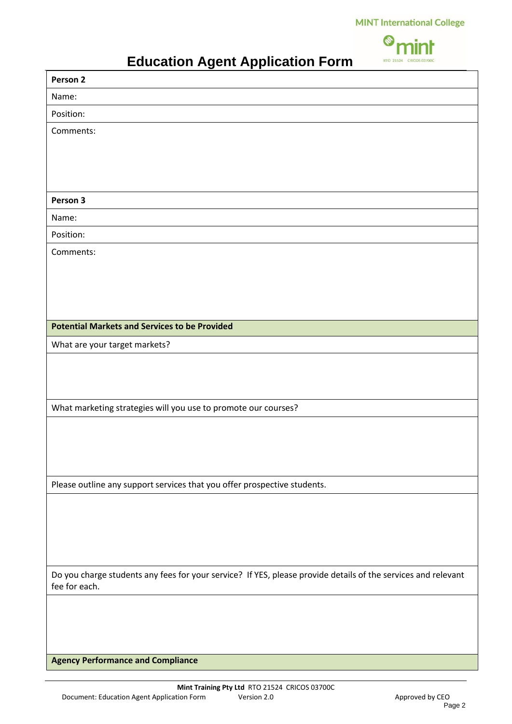**MINT International College** 

|                         | n jur |
|-------------------------|-------|
| RTO 21524 CRICOS 03700C |       |

## **Education Agent Application Form**

| ◡<br>. <u>.</u> .<br>Person 2                                                                                                  |  |
|--------------------------------------------------------------------------------------------------------------------------------|--|
| Name:                                                                                                                          |  |
| Position:                                                                                                                      |  |
| Comments:                                                                                                                      |  |
|                                                                                                                                |  |
|                                                                                                                                |  |
|                                                                                                                                |  |
| Person 3                                                                                                                       |  |
| Name:                                                                                                                          |  |
| Position:                                                                                                                      |  |
| Comments:                                                                                                                      |  |
|                                                                                                                                |  |
|                                                                                                                                |  |
|                                                                                                                                |  |
|                                                                                                                                |  |
| <b>Potential Markets and Services to be Provided</b>                                                                           |  |
| What are your target markets?                                                                                                  |  |
|                                                                                                                                |  |
|                                                                                                                                |  |
|                                                                                                                                |  |
| What marketing strategies will you use to promote our courses?                                                                 |  |
|                                                                                                                                |  |
|                                                                                                                                |  |
|                                                                                                                                |  |
| Please outline any support services that you offer prospective students.                                                       |  |
|                                                                                                                                |  |
|                                                                                                                                |  |
|                                                                                                                                |  |
|                                                                                                                                |  |
|                                                                                                                                |  |
| Do you charge students any fees for your service? If YES, please provide details of the services and relevant<br>fee for each. |  |
|                                                                                                                                |  |
|                                                                                                                                |  |
|                                                                                                                                |  |
|                                                                                                                                |  |
| <b>Agency Performance and Compliance</b>                                                                                       |  |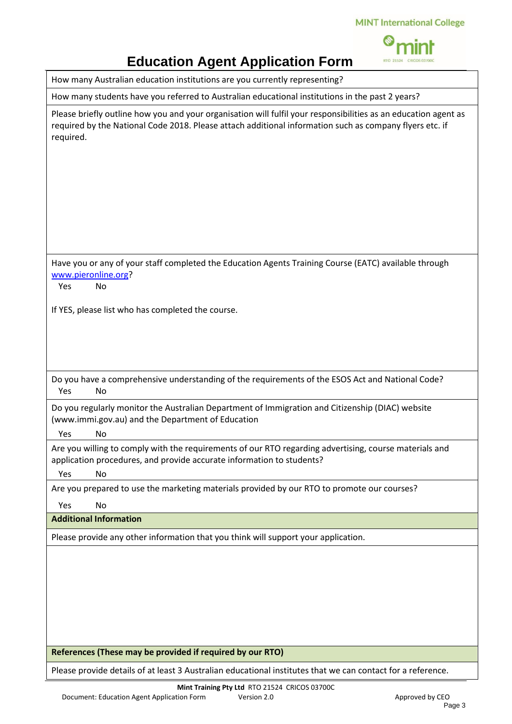

# **Education Agent Application Form**

How many Australian education institutions are you currently representing?

How many students have you referred to Australian educational institutions in the past 2 years?

| Please briefly outline how you and your organisation will fulfil your responsibilities as an education agent as<br>required by the National Code 2018. Please attach additional information such as company flyers etc. if<br>required. |
|-----------------------------------------------------------------------------------------------------------------------------------------------------------------------------------------------------------------------------------------|
|                                                                                                                                                                                                                                         |
| Have you or any of your staff completed the Education Agents Training Course (EATC) available through<br>www.pieronline.org?                                                                                                            |
| Yes<br>No                                                                                                                                                                                                                               |
|                                                                                                                                                                                                                                         |
| If YES, please list who has completed the course.                                                                                                                                                                                       |
|                                                                                                                                                                                                                                         |
|                                                                                                                                                                                                                                         |
|                                                                                                                                                                                                                                         |
|                                                                                                                                                                                                                                         |
| Do you have a comprehensive understanding of the requirements of the ESOS Act and National Code?                                                                                                                                        |
| Yes<br>No                                                                                                                                                                                                                               |
| Do you regularly monitor the Australian Department of Immigration and Citizenship (DIAC) website<br>(www.immi.gov.au) and the Department of Education                                                                                   |
| Yes<br>No                                                                                                                                                                                                                               |
| Are you willing to comply with the requirements of our RTO regarding advertising, course materials and<br>application procedures, and provide accurate information to students?                                                         |
| Yes<br>No                                                                                                                                                                                                                               |
| Are you prepared to use the marketing materials provided by our RTO to promote our courses?                                                                                                                                             |
| Yes<br>No                                                                                                                                                                                                                               |
| <b>Additional Information</b>                                                                                                                                                                                                           |
| Please provide any other information that you think will support your application.                                                                                                                                                      |
|                                                                                                                                                                                                                                         |
|                                                                                                                                                                                                                                         |
|                                                                                                                                                                                                                                         |
|                                                                                                                                                                                                                                         |
|                                                                                                                                                                                                                                         |
|                                                                                                                                                                                                                                         |
|                                                                                                                                                                                                                                         |
| References (These may be provided if required by our RTO)                                                                                                                                                                               |

Please provide details of at least 3 Australian educational institutes that we can contact for a reference.